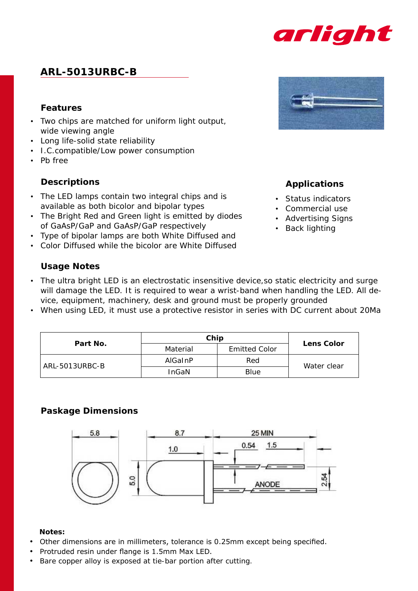

# **ARL-5013URBC-B**

### **Features**

- • Two chips are matched for uniform light output, wide viewing angle
- • Long life-solid state reliability
- • I.C.compatible/Low power consumption
- • Pb free

### **Descriptions**

- The LED lamps contain two integral chips and is available as both bicolor and bipolar types
- The Bright Red and Green light is emitted by diodes of GaAsP/GaP and GaAsP/GaP respectively
- Type of bipolar lamps are both White Diffused and
- • Color Diffused while the bicolor are White Diffused

### **Usage Notes**

- The ultra bright LED is an electrostatic insensitive device, so static electricity and surge will damage the LED. It is required to wear a wrist-band when handling the LED. All device, equipment, machinery, desk and ground must be properly grounded
- When using LED, it must use a protective resistor in series with DC current about 20Ma

| Part No.       | Chip         | <b>Lens Color</b>    |             |  |
|----------------|--------------|----------------------|-------------|--|
|                | Material     | <b>Emitted Color</b> |             |  |
| ARL-5013URBC-B | AlGaInP      | Red                  | Water clear |  |
|                | <b>InGaN</b> | Blue                 |             |  |

## **Paskage Dimensions**



#### **Notes:**

- Other dimensions are in millimeters, tolerance is 0.25mm except being specified.
- Protruded resin under flange is 1.5mm Max LED.
- Bare copper alloy is exposed at tie-bar portion after cutting.



## **Applications**

- • Status indicators
- • Commercial use
- • Advertising Signs
- • Back lighting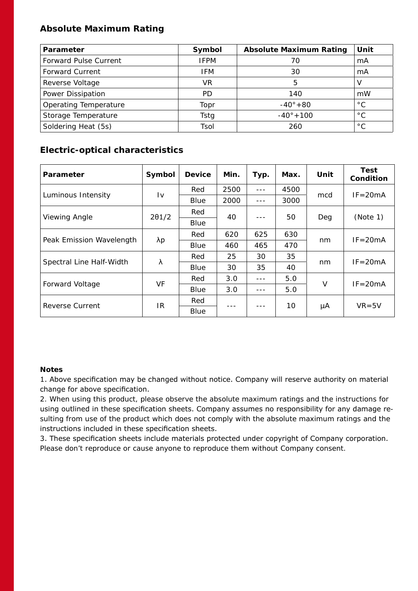## **Absolute Maximum Rating**

| <b>Parameter</b>             | Symbol      | <b>Absolute Maximum Rating</b> | Unit         |
|------------------------------|-------------|--------------------------------|--------------|
| <b>Forward Pulse Current</b> | <b>IFPM</b> | 70                             | mA           |
| <b>Forward Current</b>       | <b>IFM</b>  | 30                             | mA           |
| Reverse Voltage              | VR.         | 5                              | V            |
| Power Dissipation            | <b>PD</b>   | 140                            | mW           |
| Operating Temperature        | Topr        | $-40^{\circ} + 80$             | $^{\circ}$ C |
| Storage Temperature          | Tstg        | $-40^{\circ} + 100$            | $^{\circ}$ C |
| Soldering Heat (5s)          | Tsol        | 260                            | $^{\circ}$ C |

## **Electric-optical characteristics**

| Parameter                | Symbol                 | <b>Device</b> | Min. | Typ.    | Max. | Unit   | Test<br>Condition |
|--------------------------|------------------------|---------------|------|---------|------|--------|-------------------|
| Luminous Intensity       | $\mathsf{I}\mathsf{v}$ | Red           | 2500 | $- - -$ | 4500 | mcd    | $IF = 20mA$       |
|                          |                        | Blue          | 2000 |         | 3000 |        |                   |
| Viewing Angle            | $2\theta$ 1/2          | Red           | 40   |         | 50   | Deg    | (Note 1)          |
|                          |                        | Blue          |      |         |      |        |                   |
| Peak Emission Wavelength | λp                     | Red           | 620  | 625     | 630  | nm     | $IF = 20mA$       |
|                          |                        | Blue          | 460  | 465     | 470  |        |                   |
| Spectral Line Half-Width | λ                      | Red           | 25   | 30      | 35   | nm     | $IF = 20mA$       |
|                          |                        | Blue          | 30   | 35      | 40   |        |                   |
| Forward Voltage          | VF                     | Red           | 3.0  |         | 5.0  | $\vee$ | $IF = 20mA$       |
|                          |                        | Blue          | 3.0  |         | 5.0  |        |                   |
| Reverse Current          | IR.                    | Red           |      |         | 10   | μA     | $VR = 5V$         |
|                          |                        | Blue          |      |         |      |        |                   |

#### **Notes**

1. Above specification may be changed without notice. Company will reserve authority on material change for above specification.

2. When using this product, please observe the absolute maximum ratings and the instructions for using outlined in these specification sheets. Company assumes no responsibility for any damage resulting from use of the product which does not comply with the absolute maximum ratings and the instructions included in these specification sheets.

3. These specification sheets include materials protected under copyright of Company corporation. Please don't reproduce or cause anyone to reproduce them without Company consent.